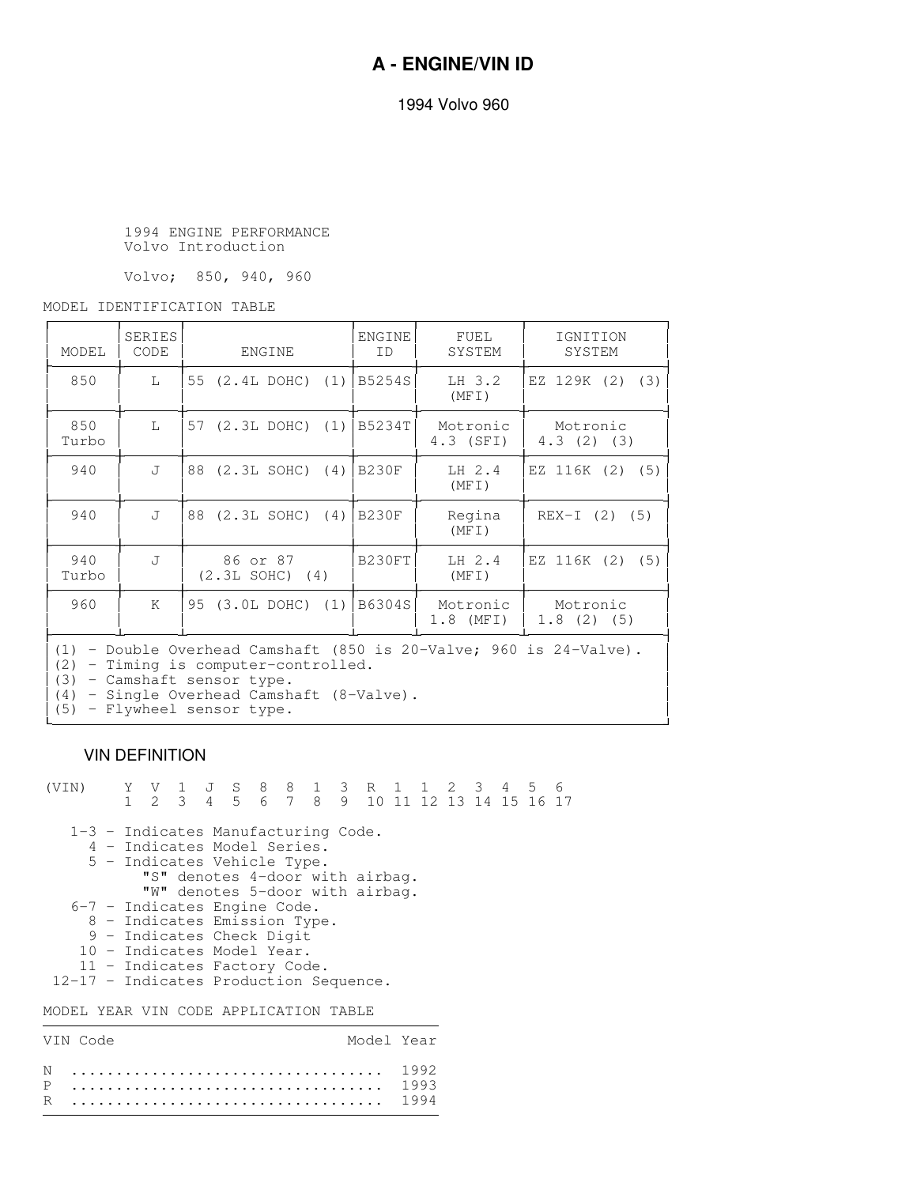1994 Volvo 960

 1994 ENGINE PERFORMANCE Volvo Introduction

Volvo; 850, 940, 960

MODEL IDENTIFICATION TABLE

| MODEL                                                                                                                                                                                                                               | <b>SERIES</b><br>CODE | ENGINE                        | ENGINE<br><b>TD</b> | FUEL<br>SYSTEM        | IGNITION<br>SYSTEM    |  |  |  |  |
|-------------------------------------------------------------------------------------------------------------------------------------------------------------------------------------------------------------------------------------|-----------------------|-------------------------------|---------------------|-----------------------|-----------------------|--|--|--|--|
| 850                                                                                                                                                                                                                                 | L                     | 55 (2.4L DOHC) (1)   B5254S   |                     | LH 3.2<br>(MFT)       | EZ 129K (2) (3)       |  |  |  |  |
| 850<br>Turbo                                                                                                                                                                                                                        | T.                    | 57 (2.3L DOHC) (1)   B5234T   |                     | Motronic<br>4.3 (SFI) | Motronic<br>4.3(2)(3) |  |  |  |  |
| 940                                                                                                                                                                                                                                 | J                     | 88 (2.3L SOHC) (4) B230F      |                     | $LH$ 2.4<br>(MFT)     | EZ 116K (2) (5)       |  |  |  |  |
| 940                                                                                                                                                                                                                                 | $\mathsf{L}$          | 88 (2.3L SOHC) (4) B230F      |                     | Regina<br>(MFT)       | $REX-I (2) (5)$       |  |  |  |  |
| 940<br>Turbo                                                                                                                                                                                                                        | $T_{\rm t}$           | 86 or 87<br>$(2.3L SOHC)$ (4) | B230FT              | LH 2.4<br>(MFI)       | EZ 116K (2) (5)       |  |  |  |  |
| 960                                                                                                                                                                                                                                 | K                     | 95 (3.0L DOHC) (1)   B6304S   |                     | Motronic<br>1.8 (MFI) | Motronic<br>1.8(2)(5) |  |  |  |  |
| $(1)$ - Double Overhead Camshaft (850 is 20-Valve; 960 is 24-Valve).<br>- Timing is computer-controlled.<br>(2)<br>- Camshaft sensor type.<br>(3)<br>- Single Overhead Camshaft (8-Valve).<br>(4)<br>- Flywheel sensor type.<br>(5) |                       |                               |                     |                       |                       |  |  |  |  |

## VIN DEFINITION

| (VIN)                                     |  |                              |  | Y V 1 J S 8 8 1 3 R 1 1 2 3 4 5 6         |  |  |  |  |  |  |  |  |  |  |  |
|-------------------------------------------|--|------------------------------|--|-------------------------------------------|--|--|--|--|--|--|--|--|--|--|--|
|                                           |  |                              |  | 1 2 3 4 5 6 7 8 9 10 11 12 13 14 15 16 17 |  |  |  |  |  |  |  |  |  |  |  |
|                                           |  |                              |  |                                           |  |  |  |  |  |  |  |  |  |  |  |
| 1-3 - Indicates Manufacturing Code.       |  |                              |  |                                           |  |  |  |  |  |  |  |  |  |  |  |
|                                           |  |                              |  | 4 - Indicates Model Series.               |  |  |  |  |  |  |  |  |  |  |  |
|                                           |  |                              |  | 5 - Indicates Vehicle Type.               |  |  |  |  |  |  |  |  |  |  |  |
|                                           |  |                              |  | "S" denotes 4-door with airbag.           |  |  |  |  |  |  |  |  |  |  |  |
|                                           |  |                              |  | "W" denotes 5-door with airbag.           |  |  |  |  |  |  |  |  |  |  |  |
| 6-7 - Indicates Engine Code.              |  |                              |  |                                           |  |  |  |  |  |  |  |  |  |  |  |
|                                           |  | 8 - Indicates Emission Type. |  |                                           |  |  |  |  |  |  |  |  |  |  |  |
|                                           |  | 9 - Indicates Check Digit    |  |                                           |  |  |  |  |  |  |  |  |  |  |  |
|                                           |  |                              |  | 10 - Indicates Model Year.                |  |  |  |  |  |  |  |  |  |  |  |
|                                           |  |                              |  | 11 - Indicates Factory Code.              |  |  |  |  |  |  |  |  |  |  |  |
| 12-17 - Indicates Production Sequence.    |  |                              |  |                                           |  |  |  |  |  |  |  |  |  |  |  |
|                                           |  |                              |  |                                           |  |  |  |  |  |  |  |  |  |  |  |
| YEAR VIN CODE APPLICATION<br>TABLE<br>M() |  |                              |  |                                           |  |  |  |  |  |  |  |  |  |  |  |

| VIN Code | Model Year |  |
|----------|------------|--|
|          |            |  |